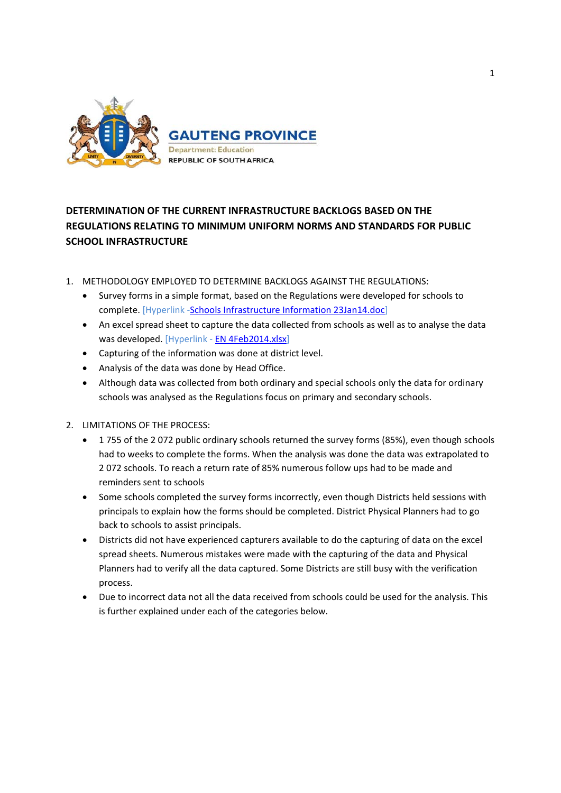

# **DETERMINATION OF THE CURRENT INFRASTRUCTURE BACKLOGS BASED ON THE REGULATIONS RELATING TO MINIMUM UNIFORM NORMS AND STANDARDS FOR PUBLIC SCHOOL INFRASTRUCTURE**

- 1. METHODOLOGY EMPLOYED TO DETERMINE BACKLOGS AGAINST THE REGULATIONS:
	- Survey forms in a simple format, based on the Regulations were developed for schools to complete. [Hyperlink -Schools Infrastructure Information 23Jan14.doc]
	- An excel spread sheet to capture the data collected from schools as well as to analyse the data was developed. [Hyperlink ‐ EN 4Feb2014.xlsx]
	- Capturing of the information was done at district level.
	- Analysis of the data was done by Head Office.
	- Although data was collected from both ordinary and special schools only the data for ordinary schools was analysed as the Regulations focus on primary and secondary schools.
- 2. LIMITATIONS OF THE PROCESS:
	- 1 755 of the 2 072 public ordinary schools returned the survey forms (85%), even though schools had to weeks to complete the forms. When the analysis was done the data was extrapolated to 2 072 schools. To reach a return rate of 85% numerous follow ups had to be made and reminders sent to schools
	- Some schools completed the survey forms incorrectly, even though Districts held sessions with principals to explain how the forms should be completed. District Physical Planners had to go back to schools to assist principals.
	- Districts did not have experienced capturers available to do the capturing of data on the excel spread sheets. Numerous mistakes were made with the capturing of the data and Physical Planners had to verify all the data captured. Some Districts are still busy with the verification process.
	- Due to incorrect data not all the data received from schools could be used for the analysis. This is further explained under each of the categories below.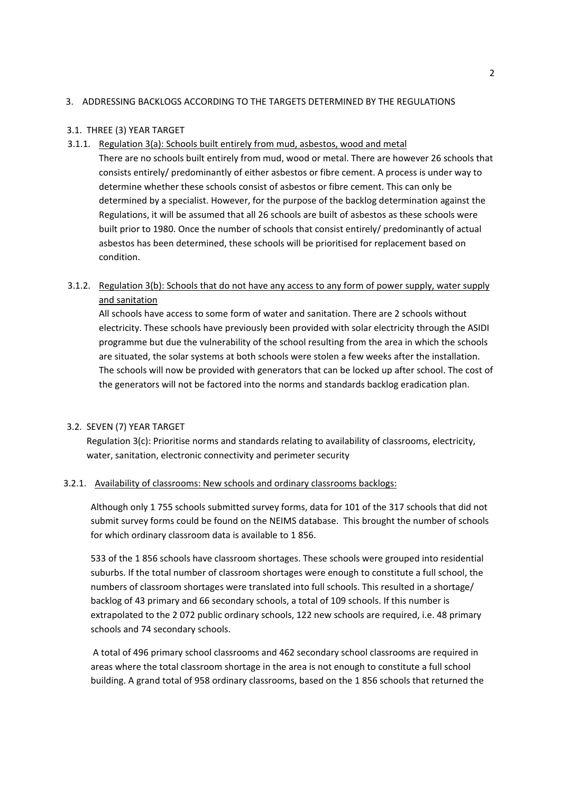# 3. ADDRESSING BACKLOGS ACCORDING TO THE TARGETS DETERMINED BY THE REGULATIONS

### 3.1. THREE (3) YEAR TARGET

3.1.1. Regulation 3(a): Schools built entirely from mud, asbestos, wood and metal

There are no schools built entirely from mud, wood or metal. There are however 26 schools that consists entirely/ predominantly of either asbestos or fibre cement. A process is under way to determine whether these schools consist of asbestos or fibre cement. This can only be determined by a specialist. However, for the purpose of the backlog determination against the Regulations, it will be assumed that all 26 schools are built of asbestos as these schools were built prior to 1980. Once the number of schools that consist entirely/ predominantly of actual asbestos has been determined, these schools will be prioritised for replacement based on condition.

# 3.1.2. Regulation 3(b): Schools that do not have any access to any form of power supply, water supply and sanitation

All schools have access to some form of water and sanitation. There are 2 schools without electricity. These schools have previously been provided with solar electricity through the ASIDI programme but due the vulnerability of the school resulting from the area in which the schools are situated, the solar systems at both schools were stolen a few weeks after the installation. The schools will now be provided with generators that can be locked up after school. The cost of the generators will not be factored into the norms and standards backlog eradication plan.

#### 3.2. SEVEN (7) YEAR TARGET

Regulation 3(c): Prioritise norms and standards relating to availability of classrooms, electricity, water, sanitation, electronic connectivity and perimeter security

#### 3.2.1. Availability of classrooms: New schools and ordinary classrooms backlogs:

Although only 1 755 schools submitted survey forms, data for 101 of the 317 schools that did not submit survey forms could be found on the NEIMS database. This brought the number of schools for which ordinary classroom data is available to 1 856.

533 of the 1 856 schools have classroom shortages. These schools were grouped into residential suburbs. If the total number of classroom shortages were enough to constitute a full school, the numbers of classroom shortages were translated into full schools. This resulted in a shortage/ backlog of 43 primary and 66 secondary schools, a total of 109 schools. If this number is extrapolated to the 2 072 public ordinary schools, 122 new schools are required, i.e. 48 primary schools and 74 secondary schools.

A total of 496 primary school classrooms and 462 secondary school classrooms are required in areas where the total classroom shortage in the area is not enough to constitute a full school building. A grand total of 958 ordinary classrooms, based on the 1 856 schools that returned the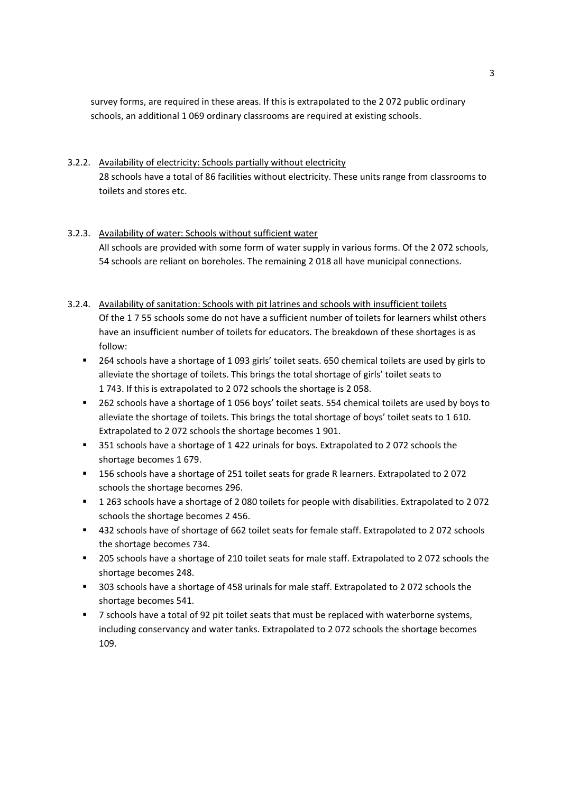survey forms, are required in these areas. If this is extrapolated to the 2 072 public ordinary schools, an additional 1 069 ordinary classrooms are required at existing schools.

3.2.2. Availability of electricity: Schools partially without electricity 28 schools have a total of 86 facilities without electricity. These units range from classrooms to toilets and stores etc.

# 3.2.3. Availability of water: Schools without sufficient water All schools are provided with some form of water supply in various forms. Of the 2 072 schools, 54 schools are reliant on boreholes. The remaining 2 018 all have municipal connections.

# 3.2.4. Availability of sanitation: Schools with pit latrines and schools with insufficient toilets Of the 1 7 55 schools some do not have a sufficient number of toilets for learners whilst others have an insufficient number of toilets for educators. The breakdown of these shortages is as follow:

- 264 schools have a shortage of 1 093 girls' toilet seats. 650 chemical toilets are used by girls to alleviate the shortage of toilets. This brings the total shortage of girls' toilet seats to 1 743. If this is extrapolated to 2 072 schools the shortage is 2 058.
- 262 schools have a shortage of 1 056 boys' toilet seats. 554 chemical toilets are used by boys to alleviate the shortage of toilets. This brings the total shortage of boys' toilet seats to 1 610. Extrapolated to 2 072 schools the shortage becomes 1 901.
- 351 schools have a shortage of 1 422 urinals for boys. Extrapolated to 2 072 schools the shortage becomes 1 679.
- 156 schools have a shortage of 251 toilet seats for grade R learners. Extrapolated to 2 072 schools the shortage becomes 296.
- 1 263 schools have a shortage of 2 080 toilets for people with disabilities. Extrapolated to 2 072 schools the shortage becomes 2 456.
- <sup>4</sup> 432 schools have of shortage of 662 toilet seats for female staff. Extrapolated to 2072 schools the shortage becomes 734.
- **205 schools have a shortage of 210 toilet seats for male staff. Extrapolated to 2072 schools the** shortage becomes 248.
- 303 schools have a shortage of 458 urinals for male staff. Extrapolated to 2 072 schools the shortage becomes 541.
- **7** schools have a total of 92 pit toilet seats that must be replaced with waterborne systems, including conservancy and water tanks. Extrapolated to 2 072 schools the shortage becomes 109.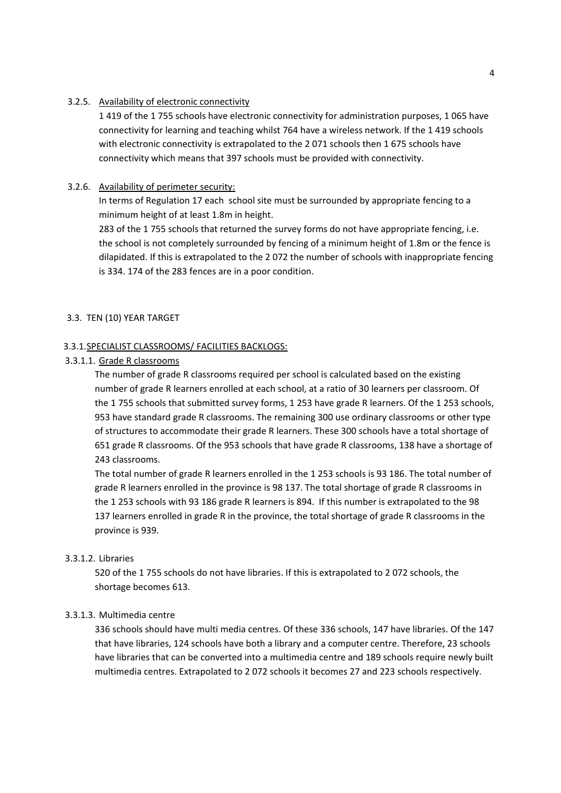#### 3.2.5. Availability of electronic connectivity

1 419 of the 1 755 schools have electronic connectivity for administration purposes, 1 065 have connectivity for learning and teaching whilst 764 have a wireless network. If the 1 419 schools with electronic connectivity is extrapolated to the 2 071 schools then 1 675 schools have connectivity which means that 397 schools must be provided with connectivity.

#### 3.2.6. Availability of perimeter security:

In terms of Regulation 17 each school site must be surrounded by appropriate fencing to a minimum height of at least 1.8m in height.

283 of the 1 755 schools that returned the survey forms do not have appropriate fencing, i.e. the school is not completely surrounded by fencing of a minimum height of 1.8m or the fence is dilapidated. If this is extrapolated to the 2 072 the number of schools with inappropriate fencing is 334. 174 of the 283 fences are in a poor condition.

#### 3.3. TEN (10) YEAR TARGET

#### 3.3.1.SPECIALIST CLASSROOMS/ FACILITIES BACKLOGS:

#### 3.3.1.1. Grade R classrooms

The number of grade R classrooms required per school is calculated based on the existing number of grade R learners enrolled at each school, at a ratio of 30 learners per classroom. Of the 1 755 schools that submitted survey forms, 1 253 have grade R learners. Of the 1 253 schools, 953 have standard grade R classrooms. The remaining 300 use ordinary classrooms or other type of structures to accommodate their grade R learners. These 300 schools have a total shortage of 651 grade R classrooms. Of the 953 schools that have grade R classrooms, 138 have a shortage of 243 classrooms.

The total number of grade R learners enrolled in the 1 253 schools is 93 186. The total number of grade R learners enrolled in the province is 98 137. The total shortage of grade R classrooms in the 1 253 schools with 93 186 grade R learners is 894. If this number is extrapolated to the 98 137 learners enrolled in grade R in the province, the total shortage of grade R classrooms in the province is 939.

#### 3.3.1.2. Libraries

520 of the 1 755 schools do not have libraries. If this is extrapolated to 2 072 schools, the shortage becomes 613.

#### 3.3.1.3. Multimedia centre

336 schools should have multi media centres. Of these 336 schools, 147 have libraries. Of the 147 that have libraries, 124 schools have both a library and a computer centre. Therefore, 23 schools have libraries that can be converted into a multimedia centre and 189 schools require newly built multimedia centres. Extrapolated to 2 072 schools it becomes 27 and 223 schools respectively.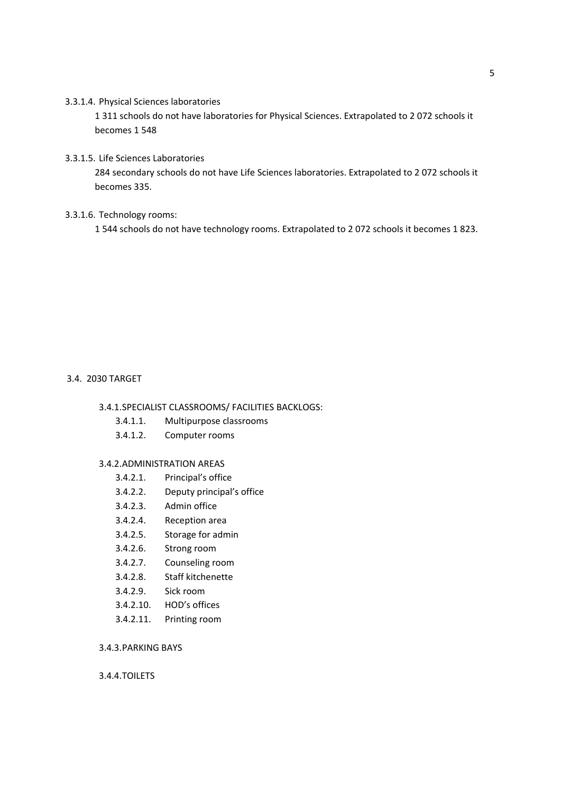#### 3.3.1.4. Physical Sciences laboratories

1 311 schools do not have laboratories for Physical Sciences. Extrapolated to 2 072 schools it becomes 1 548

### 3.3.1.5. Life Sciences Laboratories

284 secondary schools do not have Life Sciences laboratories. Extrapolated to 2 072 schools it becomes 335.

# 3.3.1.6. Technology rooms:

1 544 schools do not have technology rooms. Extrapolated to 2 072 schools it becomes 1 823.

### 3.4. 2030 TARGET

# 3.4.1.SPECIALIST CLASSROOMS/ FACILITIES BACKLOGS:

- 3.4.1.1. Multipurpose classrooms
- 3.4.1.2. Computer rooms

## 3.4.2.ADMINISTRATION AREAS

- 3.4.2.1. Principal's office
- 3.4.2.2. Deputy principal's office
- 3.4.2.3. Admin office
- 3.4.2.4. Reception area
- 3.4.2.5. Storage for admin
- 3.4.2.6. Strong room
- 3.4.2.7. Counseling room
- 3.4.2.8. Staff kitchenette
- 3.4.2.9. Sick room
- 3.4.2.10. HOD's offices
- 3.4.2.11. Printing room

# 3.4.3.PARKING BAYS

## 3.4.4.TOILETS